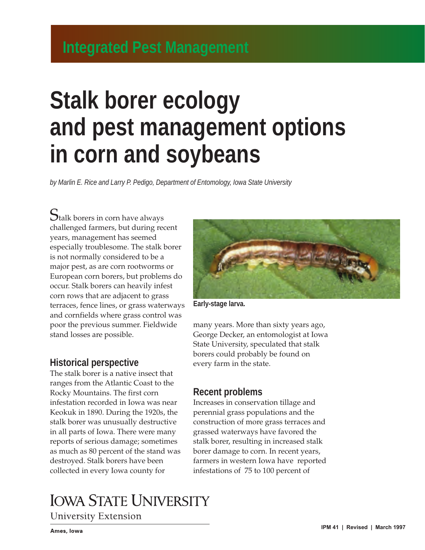# **Stalk borer ecology and pest management options in corn and soybeans**

*by Marlin E. Rice and Larry P. Pedigo, Department of Entomology, Iowa State University*

 $\mathbf S_\text{talk}$  borers in corn have always challenged farmers, but during recent years, management has seemed especially troublesome. The stalk borer is not normally considered to be a major pest, as are corn rootworms or European corn borers, but problems do occur. Stalk borers can heavily infest corn rows that are adjacent to grass terraces, fence lines, or grass waterways and cornfields where grass control was poor the previous summer. Fieldwide stand losses are possible.

#### **Historical perspective**

The stalk borer is a native insect that ranges from the Atlantic Coast to the Rocky Mountains. The first corn infestation recorded in Iowa was near Keokuk in 1890. During the 1920s, the stalk borer was unusually destructive in all parts of Iowa. There were many reports of serious damage; sometimes as much as 80 percent of the stand was destroyed. Stalk borers have been collected in every Iowa county for



**University Extension** 



**Early-stage larva.**

many years. More than sixty years ago, George Decker, an entomologist at Iowa State University, speculated that stalk borers could probably be found on every farm in the state.

#### **Recent problems**

Increases in conservation tillage and perennial grass populations and the construction of more grass terraces and grassed waterways have favored the stalk borer, resulting in increased stalk borer damage to corn. In recent years, farmers in western Iowa have reported infestations of 75 to 100 percent of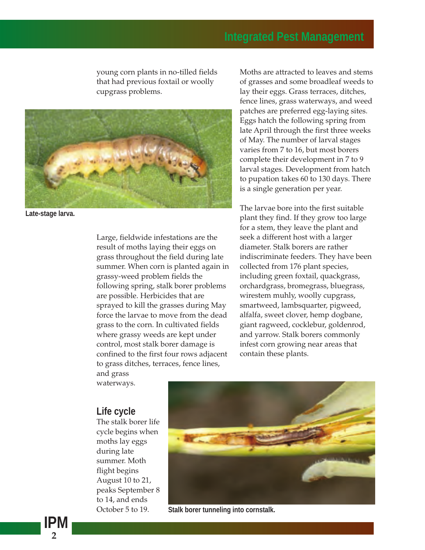young corn plants in no-tilled fields that had previous foxtail or woolly cupgrass problems.



**Late-stage larva.**

Large, fieldwide infestations are the result of moths laying their eggs on grass throughout the field during late summer. When corn is planted again in grassy-weed problem fields the following spring, stalk borer problems are possible. Herbicides that are sprayed to kill the grasses during May force the larvae to move from the dead grass to the corn. In cultivated fields where grassy weeds are kept under control, most stalk borer damage is confined to the first four rows adjacent to grass ditches, terraces, fence lines, and grass

waterways.

#### **Life cycle**

The stalk borer life cycle begins when moths lay eggs during late summer. Moth flight begins August 10 to 21, peaks September 8 to 14, and ends October 5 to 19.



**Stalk borer tunneling into cornstalk.**

Moths are attracted to leaves and stems of grasses and some broadleaf weeds to lay their eggs. Grass terraces, ditches, fence lines, grass waterways, and weed patches are preferred egg-laying sites. Eggs hatch the following spring from late April through the first three weeks of May. The number of larval stages varies from 7 to 16, but most borers complete their development in 7 to 9 larval stages. Development from hatch to pupation takes 60 to 130 days. There is a single generation per year.

The larvae bore into the first suitable plant they find. If they grow too large for a stem, they leave the plant and seek a different host with a larger diameter. Stalk borers are rather indiscriminate feeders. They have been collected from 176 plant species, including green foxtail, quackgrass, orchardgrass, bromegrass, bluegrass, wirestem muhly, woolly cupgrass, smartweed, lambsquarter, pigweed, alfalfa, sweet clover, hemp dogbane, giant ragweed, cocklebur, goldenrod, and yarrow. Stalk borers commonly infest corn growing near areas that contain these plants.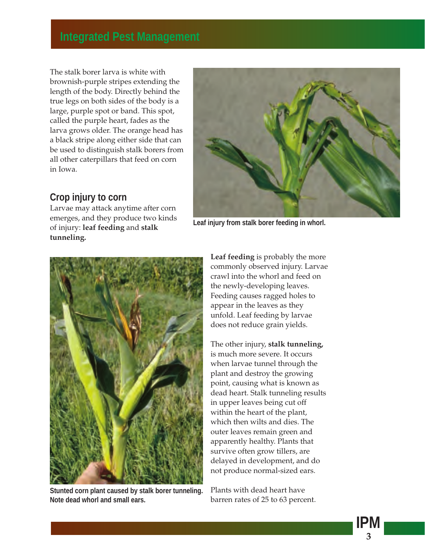The stalk borer larva is white with brownish-purple stripes extending the length of the body. Directly behind the true legs on both sides of the body is a large, purple spot or band. This spot, called the purple heart, fades as the larva grows older. The orange head has a black stripe along either side that can be used to distinguish stalk borers from all other caterpillars that feed on corn in Iowa.

#### **Crop injury to corn**

Larvae may attack anytime after corn emerges, and they produce two kinds of injury: **leaf feeding** and **stalk tunneling.**



**Leaf injury from stalk borer feeding in whorl.**



**Stunted corn plant caused by stalk borer tunneling. Note dead whorl and small ears.**

**Leaf feeding** is probably the more commonly observed injury. Larvae crawl into the whorl and feed on the newly-developing leaves. Feeding causes ragged holes to appear in the leaves as they unfold. Leaf feeding by larvae does not reduce grain yields.

The other injury, **stalk tunneling,** is much more severe. It occurs when larvae tunnel through the plant and destroy the growing point, causing what is known as dead heart. Stalk tunneling results in upper leaves being cut off within the heart of the plant, which then wilts and dies. The outer leaves remain green and apparently healthy. Plants that survive often grow tillers, are delayed in development, and do not produce normal-sized ears.

Plants with dead heart have barren rates of 25 to 63 percent.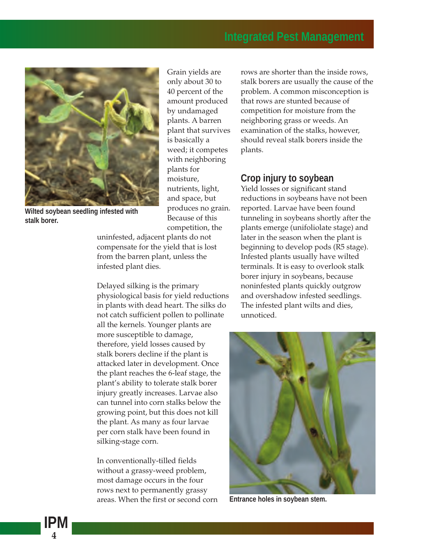

**Wilted soybean seedling infested with stalk borer.**

Grain yields are only about 30 to 40 percent of the amount produced by undamaged plants. A barren plant that survives is basically a weed; it competes with neighboring plants for moisture, nutrients, light, and space, but produces no grain. Because of this competition, the

uninfested, adjacent plants do not compensate for the yield that is lost from the barren plant, unless the infested plant dies.

Delayed silking is the primary physiological basis for yield reductions in plants with dead heart. The silks do not catch sufficient pollen to pollinate all the kernels. Younger plants are more susceptible to damage, therefore, yield losses caused by stalk borers decline if the plant is attacked later in development. Once the plant reaches the 6-leaf stage, the plant's ability to tolerate stalk borer injury greatly increases. Larvae also can tunnel into corn stalks below the growing point, but this does not kill the plant. As many as four larvae per corn stalk have been found in silking-stage corn.

In conventionally-tilled fields without a grassy-weed problem, most damage occurs in the four rows next to permanently grassy areas. When the first or second corn rows are shorter than the inside rows, stalk borers are usually the cause of the problem. A common misconception is that rows are stunted because of competition for moisture from the neighboring grass or weeds. An examination of the stalks, however, should reveal stalk borers inside the plants.

#### **Crop injury to soybean**

Yield losses or significant stand reductions in soybeans have not been reported. Larvae have been found tunneling in soybeans shortly after the plants emerge (unifoliolate stage) and later in the season when the plant is beginning to develop pods (R5 stage). Infested plants usually have wilted terminals. It is easy to overlook stalk borer injury in soybeans, because noninfested plants quickly outgrow and overshadow infested seedlings. The infested plant wilts and dies, unnoticed.



**Entrance holes in soybean stem.**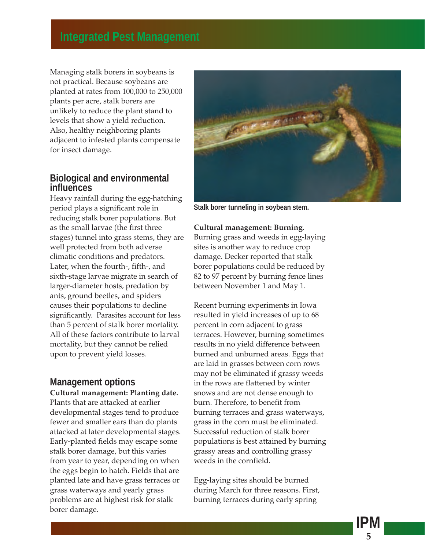Managing stalk borers in soybeans is not practical. Because soybeans are planted at rates from 100,000 to 250,000 plants per acre, stalk borers are unlikely to reduce the plant stand to levels that show a yield reduction. Also, healthy neighboring plants adjacent to infested plants compensate for insect damage.

#### **Biological and environmental influences**

Heavy rainfall during the egg-hatching period plays a significant role in reducing stalk borer populations. But as the small larvae (the first three stages) tunnel into grass stems, they are well protected from both adverse climatic conditions and predators. Later, when the fourth-, fifth-, and sixth-stage larvae migrate in search of larger-diameter hosts, predation by ants, ground beetles, and spiders causes their populations to decline significantly. Parasites account for less than 5 percent of stalk borer mortality. All of these factors contribute to larval mortality, but they cannot be relied upon to prevent yield losses.

### **Management options**

**Cultural management: Planting date.** Plants that are attacked at earlier developmental stages tend to produce fewer and smaller ears than do plants attacked at later developmental stages. Early-planted fields may escape some stalk borer damage, but this varies from year to year, depending on when the eggs begin to hatch. Fields that are planted late and have grass terraces or grass waterways and yearly grass problems are at highest risk for stalk borer damage.



**Stalk borer tunneling in soybean stem.**

#### **Cultural management: Burning.**

Burning grass and weeds in egg-laying sites is another way to reduce crop damage. Decker reported that stalk borer populations could be reduced by 82 to 97 percent by burning fence lines between November 1 and May 1.

Recent burning experiments in Iowa resulted in yield increases of up to 68 percent in corn adjacent to grass terraces. However, burning sometimes results in no yield difference between burned and unburned areas. Eggs that are laid in grasses between corn rows may not be eliminated if grassy weeds in the rows are flattened by winter snows and are not dense enough to burn. Therefore, to benefit from burning terraces and grass waterways, grass in the corn must be eliminated. Successful reduction of stalk borer populations is best attained by burning grassy areas and controlling grassy weeds in the cornfield.

Egg-laying sites should be burned during March for three reasons. First, burning terraces during early spring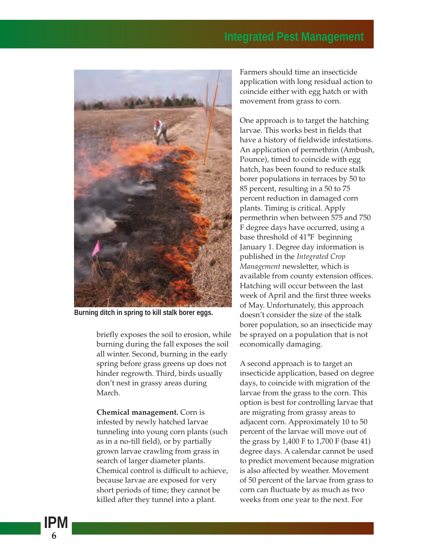

**Burning ditch in spring to kill stalk borer eggs.**

briefly exposes the soil to erosion, while burning during the fall exposes the soil all winter. Second, burning in the early spring before grass greens up does not hinder regrowth. Third, birds usually don't nest in grassy areas during March.

**Chemical management.** Corn is infested by newly hatched larvae tunneling into young corn plants (such as in a no-till field), or by partially grown larvae crawling from grass in search of larger diameter plants. Chemical control is difficult to achieve, because larvae are exposed for very short periods of time; they cannot be killed after they tunnel into a plant.

Farmers should time an insecticide application with long residual action to coincide either with egg hatch or with movement from grass to corn.

One approach is to target the hatching larvae. This works best in fields that have a history of fieldwide infestations. An application of permethrin (Ambush, Pounce), timed to coincide with egg hatch, has been found to reduce stalk borer populations in terraces by 50 to 85 percent, resulting in a 50 to 75 percent reduction in damaged corn plants. Timing is critical. Apply permethrin when between 575 and 750 F degree days have occurred, using a base threshold of 41°F beginning January 1. Degree day information is published in the *Integrated Crop Management* newsletter, which is available from county extension offices. Hatching will occur between the last week of April and the first three weeks of May. Unfortunately, this approach doesn't consider the size of the stalk borer population, so an insecticide may be sprayed on a population that is not economically damaging.

A second approach is to target an insecticide application, based on degree days, to coincide with migration of the larvae from the grass to the corn. This option is best for controlling larvae that are migrating from grassy areas to adjacent corn. Approximately 10 to 50 percent of the larvae will move out of the grass by 1,400 F to 1,700 F (base 41) degree days. A calendar cannot be used to predict movement because migration is also affected by weather. Movement of 50 percent of the larvae from grass to corn can fluctuate by as much as two weeks from one year to the next. For

**6**

**IPM**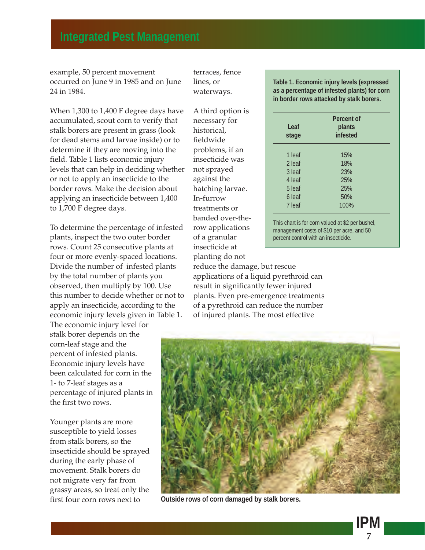example, 50 percent movement occurred on June 9 in 1985 and on June 24 in 1984.

When 1,300 to 1,400 F degree days have accumulated, scout corn to verify that stalk borers are present in grass (look for dead stems and larvae inside) or to determine if they are moving into the field. Table 1 lists economic injury levels that can help in deciding whether or not to apply an insecticide to the border rows. Make the decision about applying an insecticide between 1,400 to 1,700 F degree days.

To determine the percentage of infested plants, inspect the two outer border rows. Count 25 consecutive plants at four or more evenly-spaced locations. Divide the number of infested plants by the total number of plants you observed, then multiply by 100. Use this number to decide whether or not to apply an insecticide, according to the economic injury levels given in Table 1.

The economic injury level for stalk borer depends on the corn-leaf stage and the percent of infested plants. Economic injury levels have been calculated for corn in the 1- to 7-leaf stages as a percentage of injured plants in the first two rows.

Younger plants are more susceptible to yield losses from stalk borers, so the insecticide should be sprayed during the early phase of movement. Stalk borers do not migrate very far from grassy areas, so treat only the first four corn rows next to

terraces, fence lines, or waterways.

A third option is necessary for historical, fieldwide problems, if an insecticide was not sprayed against the hatching larvae. In-furrow treatments or banded over-therow applications of a granular insecticide at planting do not

**Table 1. Economic injury levels (expressed as a percentage of infested plants) for corn in border rows attacked by stalk borers.**

| Leaf<br>stage | Percent of<br>plants<br>infested |
|---------------|----------------------------------|
| 1 leaf        | 15%                              |
| 2 leaf        | 18%                              |
| 3 leaf        | 23%                              |
| 4 leaf        | 25%                              |
| 5 leaf        | 25%                              |
| 6 leaf        | 50%                              |
| 7 leaf        | 100%                             |

This chart is for corn valued at \$2 per bushel, management costs of \$10 per acre, and 50 percent control with an insecticide.

reduce the damage, but rescue applications of a liquid pyrethroid can result in significantly fewer injured plants. Even pre-emergence treatments of a pyrethroid can reduce the number of injured plants. The most effective



**Outside rows of corn damaged by stalk borers.**